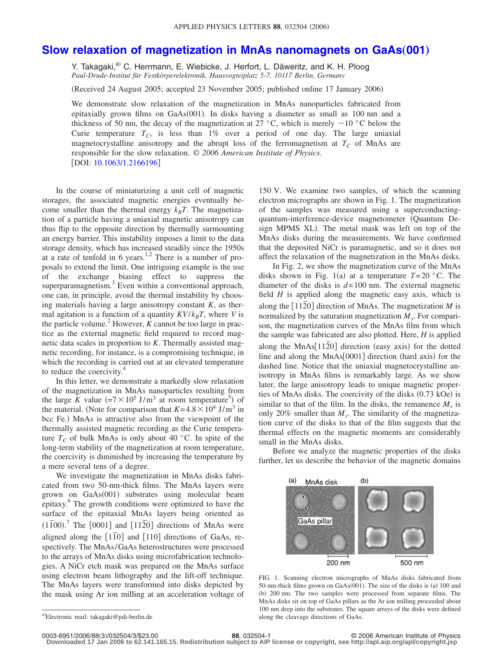## **[Slow relaxation of magnetization in MnAs nanomagnets on GaAs](http://dx.doi.org/10.1063/1.2166196)**"**001**…

Y. Takagaki,<sup>a)</sup> C. Herrmann, E. Wiebicke, J. Herfort, L. Däweritz, and K. H. Ploog *Paul-Drude-Institut für Festkörperelektronik, Hausvogteiplatz 5-7, 10117 Berlin, Germany*

(Received 24 August 2005; accepted 23 November 2005; published online 17 January 2006)

We demonstrate slow relaxation of the magnetization in MnAs nanoparticles fabricated from epitaxially grown films on GaAs(001). In disks having a diameter as small as 100 nm and a thickness of 50 nm, the decay of the magnetization at 27 °C, which is merely  $\sim$  10 °C below the Curie temperature  $T_c$ , is less than  $1\%$  over a period of one day. The large uniaxial magnetocrystalline anisotropy and the abrupt loss of the ferromagnetism at  $T_c$  of MnAs are responsible for the slow relaxation. © *2006 American Institute of Physics*. [DOI: [10.1063/1.2166196](http://dx.doi.org/10.1063/1.2166196)]

In the course of miniaturizing a unit cell of magnetic storages, the associated magnetic energies eventually become smaller than the thermal energy  $k_B T$ . The magnetization of a particle having a uniaxial magnetic anisotropy can thus flip to the opposite direction by thermally surmounting an energy barrier. This instability imposes a limit to the data storage density, which has increased steadily since the 1950s at a rate of tenfold in 6 years.<sup>1,2</sup> There is a number of proposals to extend the limit. One intriguing example is the use of the exchange biasing effect to suppress the superparamagnetism.<sup>3</sup> Even within a conventional approach, one can, in principle, avoid the thermal instability by choosing materials having a large anisotropy constant *K*, as thermal agitation is a function of a quantity  $KV/k_BT$ , where *V* is the particle volume.<sup>2</sup> However,  $\overline{K}$  cannot be too large in practice as the external magnetic field required to record magnetic data scales in proportion to *K*. Thermally assisted magnetic recording, for instance, is a compromising technique, in which the recording is carried out at an elevated temperature to reduce the coercivity.<sup>4</sup>

In this letter, we demonstrate a markedly slow relaxation of the magnetization in MnAs nanoparticles resulting from the large K value  $(=7 \times 10^5 \text{ J/m}^3$  at room temperature<sup>5</sup>) of the material. (Note for comparison that  $K = 4.8 \times 10^4$  J/m<sup>3</sup> in bcc Fe.) MnAs is attractive also from the viewpoint of the thermally assisted magnetic recording as the Curie temperature  $T_c$  of bulk MnAs is only about 40 °C. In spite of the long-term stability of the magnetization at room temperature, the coercivity is diminished by increasing the temperature by a mere several tens of a degree.

We investigate the magnetization in MnAs disks fabricated from two 50-nm-thick films. The MnAs layers were grown on GaAs(001) substrates using molecular beam epitaxy.<sup>6</sup> The growth conditions were optimized to have the surface of the epitaxial MnAs layers being oriented as  $(1\overline{1}00)^7$  The  $[0001]$  and  $[11\overline{2}0]$  directions of MnAs were aligned along the  $[1\overline{1}0]$  and  $[110]$  directions of GaAs, respectively. The MnAs/GaAs heterostructures were processed to the arrays of MnAs disks using microfabrication technologies. A NiCr etch mask was prepared on the MnAs surface using electron beam lithography and the lift-off technique. The MnAs layers were transformed into disks depicted by the mask using Ar ion milling at an acceleration voltage of

150 V. We examine two samples, of which the scanning electron micrographs are shown in Fig. 1. The magnetization of the samples was measured using a superconductingquantum-interference-device magnetometer Quantum Design MPMS XL). The metal mask was left on top of the MnAs disks during the measurements. We have confirmed that the deposited NiCr is paramagnetic, and so it does not affect the relaxation of the magnetization in the MnAs disks.

In Fig. 2, we show the magnetization curve of the MnAs disks shown in Fig. 1(a) at a temperature  $T=20$  °C. The diameter of the disks is *d*= 100 nm. The external magnetic field *H* is applied along the magnetic easy axis, which is along the  $\lceil 1120 \rceil$  direction of MnAs. The magnetization *M* is normalized by the saturation magnetization  $M<sub>s</sub>$ . For comparison, the magnetization curves of the MnAs film from which the sample was fabricated are also plotted. Here, *H* is applied along the MnAs<sup>[1120]</sup> direction (easy axis) for the dotted line and along the MnAs[0001] direction (hard axis) for the dashed line. Notice that the uniaxial magnetocrystalline anisotropy in MnAs films is remarkably large. As we show later, the large anisotropy leads to unique magnetic properties of MnAs disks. The coercivity of the disks (0.73 kOe) is similar to that of the film. In the disks, the remanence  $M_r$  is only 20% smaller than  $M<sub>s</sub>$ . The similarity of the magnetization curve of the disks to that of the film suggests that the thermal effects on the magnetic moments are considerably small in the MnAs disks.

Before we analyze the magnetic properties of the disks further, let us describe the behavior of the magnetic domains



FIG. 1. Scanning electron micrographs of MnAs disks fabricated from 50-nm-thick films grown on GaAs(001). The size of the disks is (a) 100 and (b) 200 nm. The two samples were processed from separate films. The MnAs disks sit on top of GaAs pillars as the Ar ion milling proceeded about 100 nm deep into the substrates. The square arrays of the disks were defined along the cleavage directions of GaAs.

**Downloaded 17 Jan 2006 to 62.141.165.15. Redistribution subject to AIP license or copyright, see http://apl.aip.org/apl/copyright.jsp**

a)<br>Electronic mail: takagaki@pdi-berlin.de

**<sup>88.</sup>** 032504-1 **88. 88.** 032504-1 **88. 88. 88. 88. 88. 88. 88. 88. 88. 88. 88. 88. 88. 88. 88. 88. 88. 88. 88. 88. 88. 88. 88. 88. 88. 88. 88. 88. 88. 88. 88.**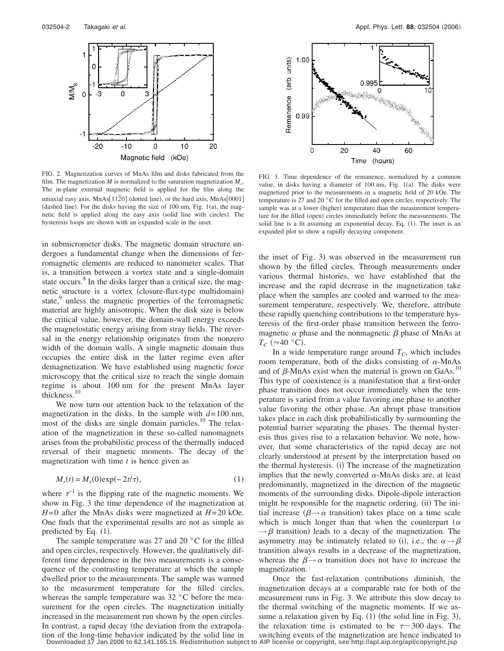

FIG. 2. Magnetization curves of MnAs film and disks fabricated from the film. The magnetization  $M$  is normalized to the saturation magnetization  $M_s$ . The in-plane external magnetic field is applied for the film along the uniaxial easy axis, MnAs[112<del>0]</del> (dotted line), or the hard axis, MnAs[0001] (dashed line). For the disks having the size of  $100$  nm, Fig.  $1(a)$ , the magnetic field is applied along the easy axis (solid line with circles). The hysteresis loops are shown with an expanded scale in the inset.

in submicrometer disks. The magnetic domain structure undergoes a fundamental change when the dimensions of ferromagnetic elements are reduced to nanometer scales. That is, a transition between a vortex state and a single-domain state occurs.<sup>8</sup> In the disks larger than a critical size, the magnetic structure is a vortex (closure-flux-type multidomain) state,<sup>9</sup> unless the magnetic properties of the ferromagnetic material are highly anisotropic. When the disk size is below the critical value, however, the domain-wall energy exceeds the magnetostatic energy arising from stray fields. The reversal in the energy relationship originates from the nonzero width of the domain walls. A single magnetic domain thus occupies the entire disk in the latter regime even after demagnetization. We have established using magnetic force microscopy that the critical size to reach the single domain regime is about 100 nm for the present MnAs layer thickness.<sup>10</sup>

We now turn our attention back to the relaxation of the magnetization in the disks. In the sample with  $d=100$  nm, most of the disks are single domain particles.<sup>10</sup> The relaxation of the magnetization in these so-called nanomagnets arises from the probabilistic process of the thermally induced reversal of their magnetic moments. The decay of the magnetization with time *t* is hence given as

$$
M_r(t) = M_r(0) \exp(-2t/\tau), \qquad (1)
$$

where  $\tau^{-1}$  is the flipping rate of the magnetic moments. We show in Fig. 3 the time dependence of the magnetization at *H*= 0 after the MnAs disks were magnetized at *H*= 20 kOe. One finds that the experimental results are not as simple as predicted by Eq.  $(1)$ .

The sample temperature was 27 and 20 °C for the filled and open circles, respectively. However, the qualitatively different time dependence in the two measurements is a consequence of the contrasting temperature at which the sample dwelled prior to the measurements. The sample was warmed to the measurement temperature for the filled circles, whereas the sample temperature was 32 °C before the measurement for the open circles. The magnetization initially increased in the measurement run shown by the open circles. In contrast, a rapid decay (the deviation from the extrapolation of the long-time behavior indicated by the solid line in



FIG. 3. Time dependence of the remanence, normalized by a common value, in disks having a diameter of  $100$  nm, Fig.  $1(a)$ . The disks were magnetized prior to the measurements in a magnetic field of 20 kOe. The temperature is 27 and 20 °C for the filled and open circles, respectively. The sample was at a lower (higher) temperature than the measurement temperature for the filled (open) circles immediately before the measurements. The solid line is a fit assuming an exponential decay, Eq. (1). The inset is an expanded plot to show a rapidly decaying component.

the inset of Fig. 3) was observed in the measurement run shown by the filled circles. Through measurements under various thermal histories, we have established that the increase and the rapid decrease in the magnetization take place when the samples are cooled and warmed to the measurement temperature, respectively. We, therefore, attribute these rapidly quenching contributions to the temperature hysteresis of the first-order phase transition between the ferromagnetic  $\alpha$  phase and the nonmagnetic  $\beta$  phase of MnAs at  $T_C$  ( $\approx$  40 °C).

In a wide temperature range around  $T_c$ , which includes room temperature, both of the disks consisting of  $\alpha$ -MnAs and of  $\beta$ -MnAs exist when the material is grown on GaAs.<sup>10</sup> This type of coexistence is a manifestation that a first-order phase transition does not occur immediately when the temperature is varied from a value favoring one phase to another value favoring the other phase. An abrupt phase transition takes place in each disk probabilistically by surmounting the potential barrier separating the phases. The thermal hysteresis thus gives rise to a relaxation behavior. We note, however, that some characteristics of the rapid decay are not clearly understood at present by the interpretation based on the thermal hysteresis. (i) The increase of the magnetization implies that the newly converted  $\alpha$ -MnAs disks are, at least predominantly, magnetized in the direction of the magnetic moments of the surrounding disks. Dipole-dipole interaction might be responsible for the magnetic ordering. (ii) The initial increase ( $\beta \rightarrow \alpha$  transition) takes place on a time scale which is much longer than that when the counterpart ( $\alpha$  $\rightarrow \beta$  transition) leads to a decay of the magnetization. The asymmetry may be intimately related to (i), i.e., the  $\alpha \rightarrow \beta$ transition always results in a decrease of the magnetization, whereas the  $\beta \rightarrow \alpha$  transition does not have to increase the magnetization.

Once the fast-relaxation contributions diminish, the magnetization decays at a comparable rate for both of the measurement runs in Fig. 3. We attribute this slow decay to the thermal switching of the magnetic moments. If we assume a relaxation given by Eq.  $(1)$  (the solid line in Fig. 3), the relaxation time is estimated to be  $\tau \sim 300$  days. The switching events of the magnetization are hence indicated to **Downloaded 17 Jan 2006 to 62.141.165.15. Redistribution subject to AIP license or copyright, see http://apl.aip.org/apl/copyright.jsp**